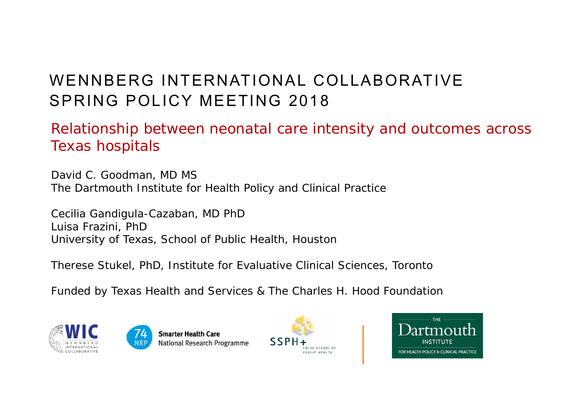## WENNBERG INTERNATIONAL COLLABORATIVESPRING POLICY MEETING 2018

Relationship between neonatal care intensity and outcomes across Texas hospitals

David C. Goodman, MD MS The Dartmouth Institute for Health Policy and Clinical Practice

Cecilia Gandigula-Cazaban, MD PhD Luisa Frazini, PhD University of Texas, School of Public Health, Houston

Therese Stukel, PhD, Institute for Evaluative Clinical Sciences, Toronto

Funded by Texas Health and Services & The Charles H. Hood Foundation







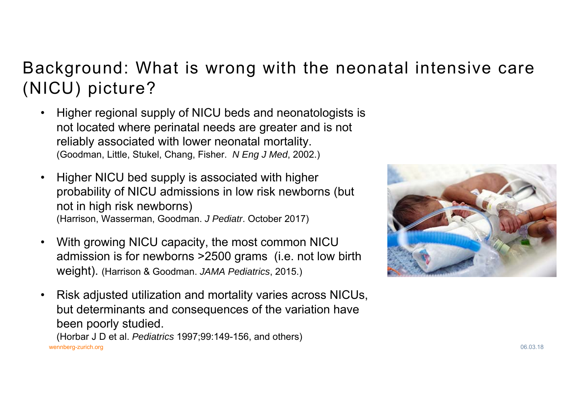## Background: What is wrong with the neonatal intensive care (NICU) picture?

- $\bullet$  Higher regional supply of NICU beds and neonatologists is not located where perinatal needs are greater and is not reliably associated with lower neonatal mortality. (Goodman, Little, Stukel, Chang, Fisher. *N Eng J Med*, 2002.)
- • Higher NICU bed supply is associated with higher probability of NICU admissions in low risk newborns (but not in high risk newborns) (Harrison, Wasserman, Goodman. *J Pediatr*. October 2017)
- $\bullet$  With growing NICU capacity, the most common NICU admission is for newborns >2500 grams (i.e. not low birth weight). (Harrison & Goodman. *JAMA Pediatrics*, 2015.)
- wennberg-zurich.org 06.03.18 • Risk adjusted utilization and mortality varies across NICUs, but determinants and consequences of the variation have been poorly studied. (Horbar J D et al. *Pediatrics* 1997;99:149-156, and others)

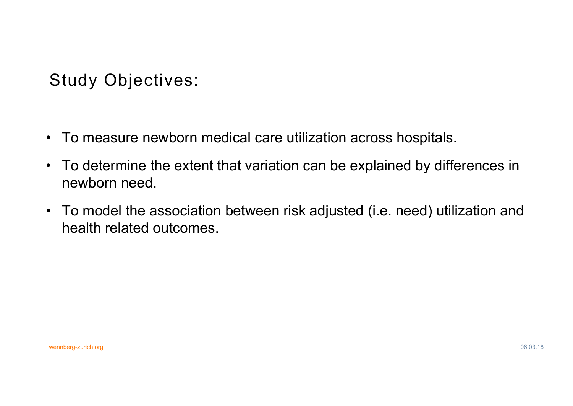Study Objectives:

- To measure newborn medical care utilization across hospitals.
- To determine the extent that variation can be explained by differences in newborn need.
- To model the association between risk adjusted (i.e. need) utilization and health related outcomes.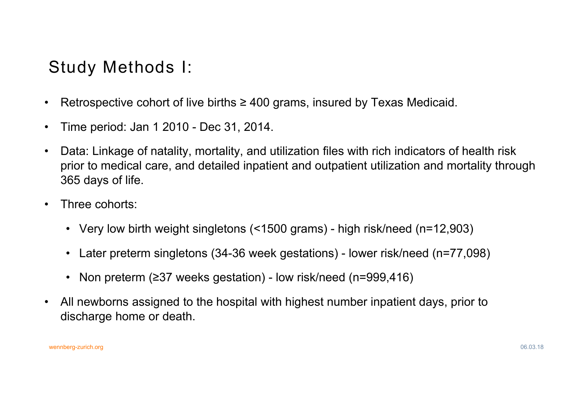## Study Methods I:

- $\bullet$ Retrospective cohort of live births  $\geq 400$  grams, insured by Texas Medicaid.
- •Time period: Jan 1 2010 - Dec 31, 2014.
- $\bullet$  Data: Linkage of natality, mortality, and utilization files with rich indicators of health risk prior to medical care, and detailed inpatient and outpatient utilization and mortality through 365 days of life.
- • Three cohorts:
	- Very low birth weight singletons (<1500 grams) high risk/need (n=12,903)
	- $\bullet$ Later preterm singletons (34-36 week gestations) - lower risk/need (n=77,098)
	- •Non preterm (≥37 weeks gestation) - low risk/need (n=999,416)
- $\bullet$  All newborns assigned to the hospital with highest number inpatient days, prior to discharge home or death.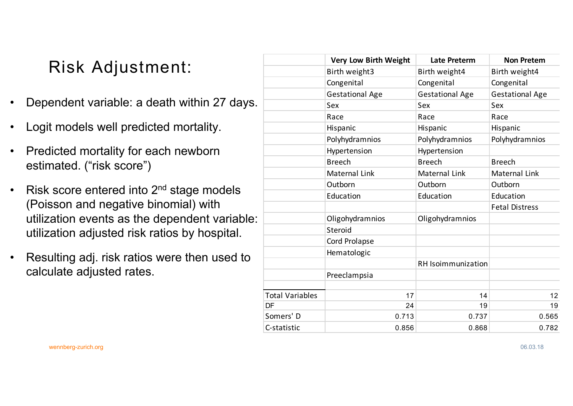## Risk Adjustment:

- •Dependent variable: a death within 27 days.
- •Logit models well predicted mortality.
- • Predicted mortality for each newborn estimated. ("risk score")
- $\bullet$ Risk score entered into 2<sup>nd</sup> stage models (Poisson and negative binomial) with utilization events as the dependent variable: utilization adjusted risk ratios by hospital.
- • Resulting adj. risk ratios were then used to calculate adjusted rates.

|                        | <b>Very Low Birth Weight</b> | <b>Late Preterm</b>       | <b>Non Pretem</b>      |
|------------------------|------------------------------|---------------------------|------------------------|
|                        | Birth weight3                | Birth weight4             | Birth weight4          |
|                        | Congenital                   | Congenital                | Congenital             |
|                        | <b>Gestational Age</b>       | <b>Gestational Age</b>    | <b>Gestational Age</b> |
|                        | Sex                          | Sex                       | Sex                    |
|                        | Race                         | Race                      | Race                   |
|                        | Hispanic                     | Hispanic                  | Hispanic               |
|                        | Polyhydramnios               | Polyhydramnios            | Polyhydramnios         |
|                        | Hypertension                 | Hypertension              |                        |
|                        | <b>Breech</b>                | <b>Breech</b>             | <b>Breech</b>          |
|                        | Maternal Link                | Maternal Link             | Maternal Link          |
|                        | Outborn                      | Outborn                   | Outborn                |
|                        | Education                    | Education                 | Education              |
|                        |                              |                           | <b>Fetal Distress</b>  |
|                        | Oligohydramnios              | Oligohydramnios           |                        |
|                        | Steroid                      |                           |                        |
|                        | <b>Cord Prolapse</b>         |                           |                        |
|                        | Hematologic                  |                           |                        |
|                        |                              | <b>RH</b> Isoimmunization |                        |
|                        | Preeclampsia                 |                           |                        |
|                        |                              |                           |                        |
| <b>Total Variables</b> | 17                           | 14                        | 12                     |
| DF                     | 24                           | 19                        | 19                     |
| Somers' D              | 0.713                        | 0.737                     | 0.565                  |
| C-statistic            | 0.856                        | 0.868                     | 0.782                  |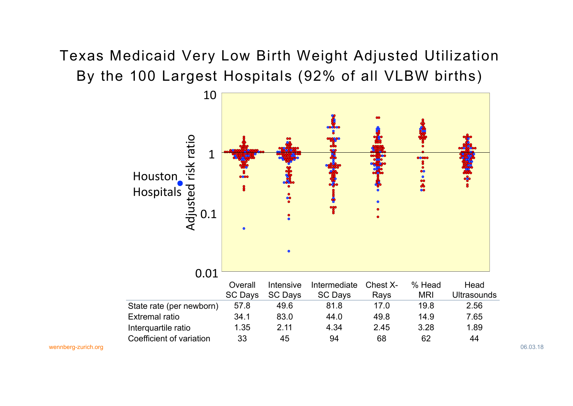### Texas Medicaid Very Low Birth Weight Adjusted Utilization By the 100 Largest Hospitals (92% of all VLBW births)

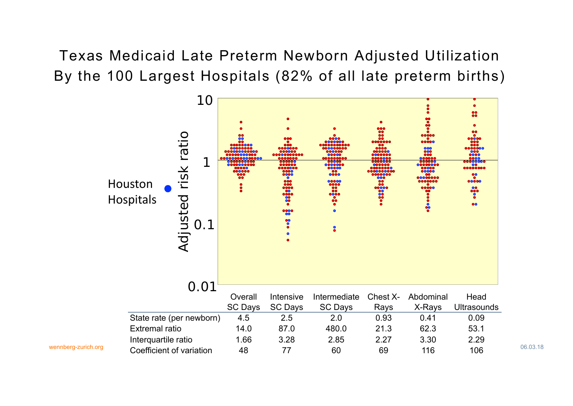Texas Medicaid Late Preterm Newborn Adjusted Utilization By the 100 Largest Hospitals (82% of all late preterm births)

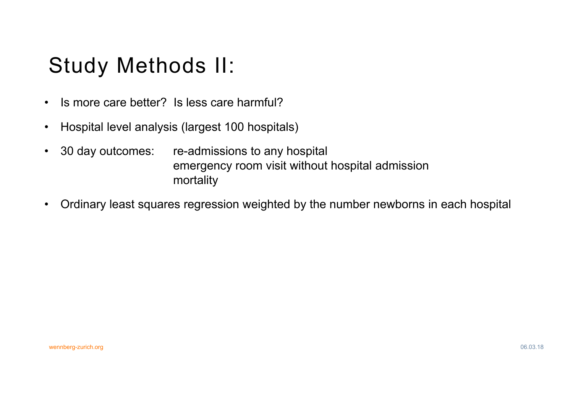## Study Methods II:

- $\bullet$ Is more care better? Is less care harmful?
- •Hospital level analysis (largest 100 hospitals)
- $\bullet$  30 day outcomes: re-admissions to any hospital emergency room visit without hospital admission mortality
- $\bullet$ Ordinary least squares regression weighted by the number newborns in each hospital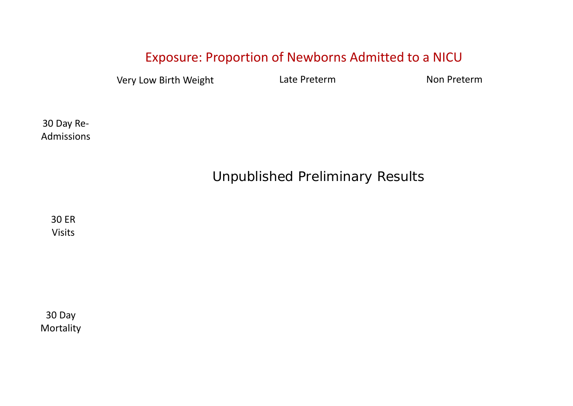#### Exposure: Proportion of Newborns Admitted to <sup>a</sup> NICU

Very Low Birth Weight **Late Preterm** Non Preterm

30 Day Re‐ Admissions

### Unpublished Preliminary Results

30 ER Visits

30 Day Mortality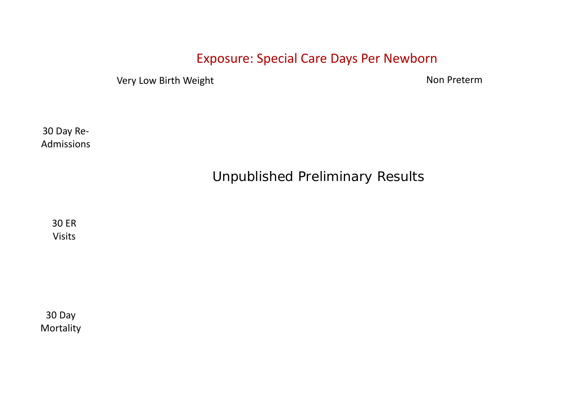#### Exposure: Special Care Days Per Newborn

Very Low Birth Weight Nonethelm Non-Preterm Non-Preterm

30 Day Re‐ Admissions

Unpublished Preliminary Results

30 ER Visits

30 Day Mortality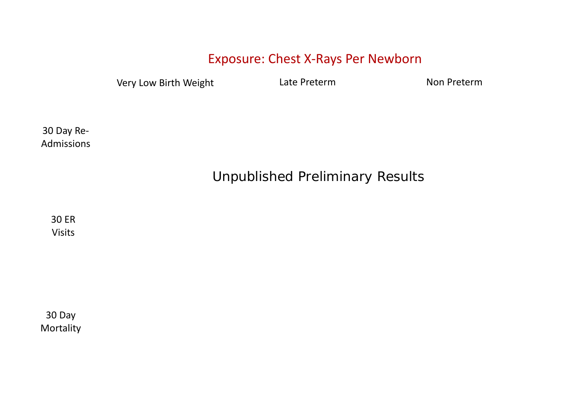#### Exposure: Chest X‐Rays Per Newborn

Very Low Birth Weight **Late Preterm** Mon Preterm

30 Day Re‐ Admissions

### Unpublished Preliminary Results

30 ER Visits

30 Day Mortality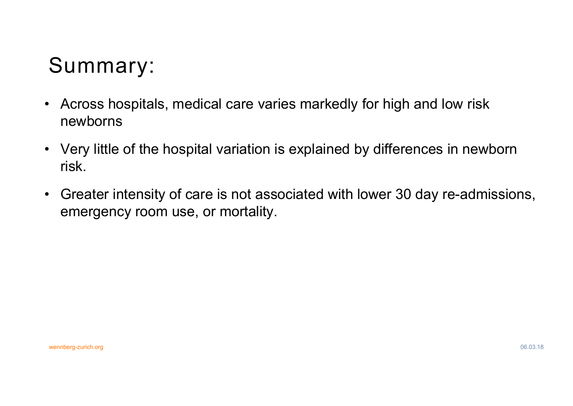# Summary:

- $\bullet$  Across hospitals, medical care varies markedly for high and low risk newborns
- Very little of the hospital variation is explained by differences in newborn risk.
- • Greater intensity of care is not associated with lower 30 day re-admissions, emergency room use, or mortality.